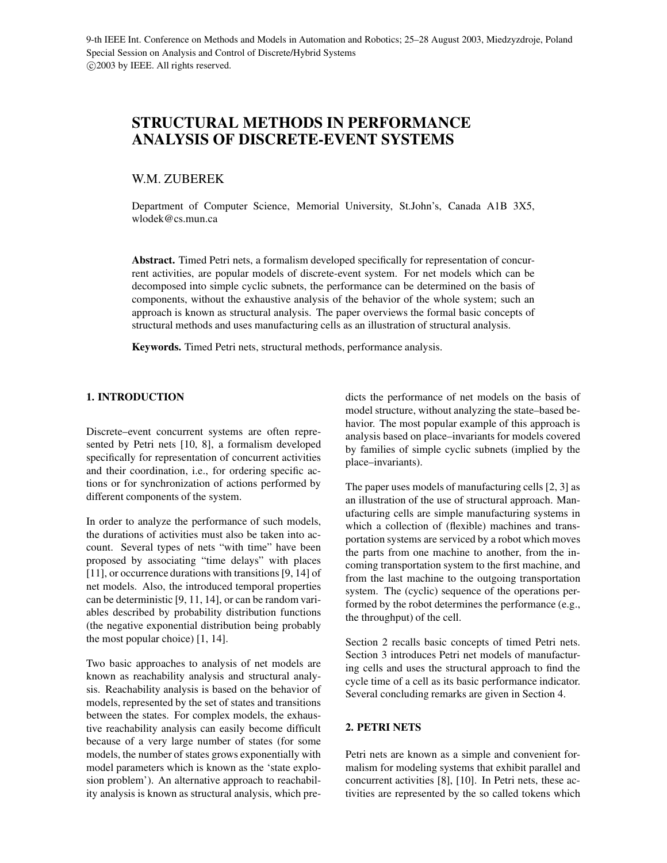# STRUCTURAL METHODS IN PERFORMANCE ANALYSIS OF DISCRETE-EVENT SYSTEMS

W.M. ZUBEREK

Department of Computer Science, Memorial University, St.John's, Canada A1B 3X5, wlodek@cs.mun.ca

Abstract. Timed Petri nets, a formalism developed specifically for representation of concurrent activities, are popular models of discrete-event system. For net models which can be decomposed into simple cyclic subnets, the performance can be determined on the basis of components, without the exhaustive analysis of the behavior of the whole system; such an approach is known as structural analysis. The paper overviews the formal basic concepts of structural methods and uses manufacturing cells as an illustration of structural analysis.

Keywords. Timed Petri nets, structural methods, performance analysis.

#### 1. INTRODUCTION

Discrete–event concurrent systems are often represented by Petri nets [10, 8], a formalism developed specifically for representation of concurrent activities and their coordination, i.e., for ordering specific actions or for synchronization of actions performed by different components of the system.

In order to analyze the performance of such models, the durations of activities must also be taken into account. Several types of nets "with time" have been proposed by associating "time delays" with places [11], or occurrence durations with transitions [9, 14] of net models. Also, the introduced temporal properties can be deterministic [9, 11, 14], or can be random variables described by probability distribution functions (the negative exponential distribution being probably the most popular choice) [1, 14].

Two basic approaches to analysis of net models are known as reachability analysis and structural analysis. Reachability analysis is based on the behavior of models, represented by the set of states and transitions between the states. For complex models, the exhaustive reachability analysis can easily become difficult because of a very large number of states (for some models, the number of states grows exponentially with model parameters which is known as the 'state explosion problem'). An alternative approach to reachability analysis is known as structural analysis, which predicts the performance of net models on the basis of model structure, without analyzing the state–based behavior. The most popular example of this approach is analysis based on place–invariants for models covered by families of simple cyclic subnets (implied by the place–invariants).

The paper uses models of manufacturing cells [2, 3] as an illustration of the use of structural approach. Manufacturing cells are simple manufacturing systems in which a collection of (flexible) machines and transportation systems are serviced by a robot which moves the parts from one machine to another, from the incoming transportation system to the first machine, and from the last machine to the outgoing transportation system. The (cyclic) sequence of the operations performed by the robot determines the performance (e.g., the throughput) of the cell.

Section 2 recalls basic concepts of timed Petri nets. Section 3 introduces Petri net models of manufacturing cells and uses the structural approach to find the cycle time of a cell as its basic performance indicator. Several concluding remarks are given in Section 4.

## 2. PETRI NETS

Petri nets are known as a simple and convenient formalism for modeling systems that exhibit parallel and concurrent activities [8], [10]. In Petri nets, these activities are represented by the so called tokens which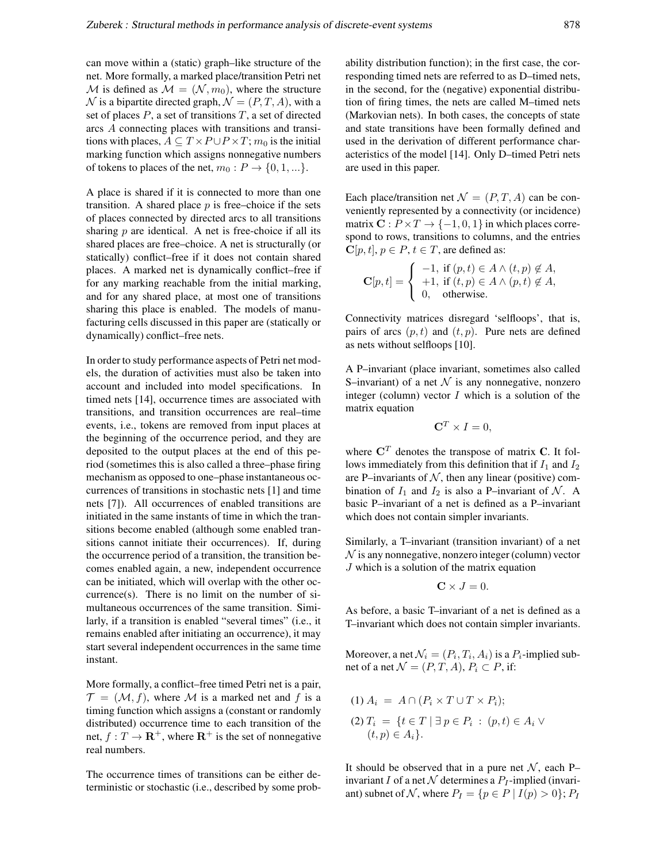can move within a (static) graph–like structure of the net. More formally, a marked place/transition Petri net M is defined as  $\mathcal{M} = (\mathcal{N}, m_0)$ , where the structure  $\mathcal N$  is a bipartite directed graph,  $\mathcal N = (P, T, A)$ , with a set of places  $P$ , a set of transitions  $T$ , a set of directed arcs A connecting places with transitions and transitions with places,  $A \subseteq T \times P \cup P \times T$ ;  $m_0$  is the initial marking function which assigns nonnegative numbers of tokens to places of the net,  $m_0: P \to \{0, 1, ...\}$ .

A place is shared if it is connected to more than one transition. A shared place  $p$  is free–choice if the sets of places connected by directed arcs to all transitions sharing  $p$  are identical. A net is free-choice if all its shared places are free–choice. A net is structurally (or statically) conflict–free if it does not contain shared places. A marked net is dynamically conflict–free if for any marking reachable from the initial marking, and for any shared place, at most one of transitions sharing this place is enabled. The models of manufacturing cells discussed in this paper are (statically or dynamically) conflict–free nets.

In order to study performance aspects of Petri net models, the duration of activities must also be taken into account and included into model specifications. In timed nets [14], occurrence times are associated with transitions, and transition occurrences are real–time events, i.e., tokens are removed from input places at the beginning of the occurrence period, and they are deposited to the output places at the end of this period (sometimes this is also called a three–phase firing mechanism as opposed to one–phase instantaneous occurrences of transitions in stochastic nets [1] and time nets [7]). All occurrences of enabled transitions are initiated in the same instants of time in which the transitions become enabled (although some enabled transitions cannot initiate their occurrences). If, during the occurrence period of a transition, the transition becomes enabled again, a new, independent occurrence can be initiated, which will overlap with the other occurrence(s). There is no limit on the number of simultaneous occurrences of the same transition. Similarly, if a transition is enabled "several times" (i.e., it remains enabled after initiating an occurrence), it may start several independent occurrences in the same time instant.

More formally, a conflict–free timed Petri net is a pair,  $\mathcal{T} = (\mathcal{M}, f)$ , where M is a marked net and f is a timing function which assigns a (constant or randomly distributed) occurrence time to each transition of the net,  $f: T \to \mathbf{R}^+$ , where  $\mathbf{R}^+$  is the set of nonnegative real numbers.

The occurrence times of transitions can be either deterministic or stochastic (i.e., described by some probability distribution function); in the first case, the corresponding timed nets are referred to as D–timed nets, in the second, for the (negative) exponential distribution of firing times, the nets are called M–timed nets (Markovian nets). In both cases, the concepts of state and state transitions have been formally defined and used in the derivation of different performance characteristics of the model [14]. Only D–timed Petri nets are used in this paper.

Each place/transition net  $\mathcal{N} = (P, T, A)$  can be conveniently represented by a connectivity (or incidence) matrix  $C: P \times T \rightarrow \{-1, 0, 1\}$  in which places correspond to rows, transitions to columns, and the entries  $C[p, t], p \in P, t \in T$ , are defined as:

$$
\mathbf{C}[p,t] = \begin{cases} -1, & \text{if } (p,t) \in A \land (t,p) \notin A, \\ +1, & \text{if } (t,p) \in A \land (p,t) \notin A, \\ 0, & \text{otherwise.} \end{cases}
$$

Connectivity matrices disregard 'selfloops', that is, pairs of arcs  $(p, t)$  and  $(t, p)$ . Pure nets are defined as nets without selfloops [10].

A P–invariant (place invariant, sometimes also called S–invariant) of a net  $\mathcal N$  is any nonnegative, nonzero integer (column) vector  $I$  which is a solution of the matrix equation

$$
\mathbf{C}^T \times I = 0,
$$

where  $C<sup>T</sup>$  denotes the transpose of matrix C. It follows immediately from this definition that if  $I_1$  and  $I_2$ are P–invariants of  $N$ , then any linear (positive) combination of  $I_1$  and  $I_2$  is also a P–invariant of N. A basic P–invariant of a net is defined as a P–invariant which does not contain simpler invariants.

Similarly, a T–invariant (transition invariant) of a net  $\mathcal N$  is any nonnegative, nonzero integer (column) vector  $J$  which is a solution of the matrix equation

$$
\mathbf{C} \times J = 0.
$$

As before, a basic T–invariant of a net is defined as a T–invariant which does not contain simpler invariants.

Moreover, a net  $\mathcal{N}_i = (P_i, T_i, A_i)$  is a  $P_i$ -implied subnet of a net  $\mathcal{N} = (P, T, A), P_i \subset P$ , if:

$$
(1) A_i = A \cap (P_i \times T \cup T \times P_i);
$$
  

$$
(2) T_i = \{t \in T \mid \exists p \in P_i : (p, t) \in A_i \vee (t, p) \in A_i\}.
$$

It should be observed that in a pure net  $\mathcal{N}$ , each P– invariant I of a net N determines a  $P_I$ -implied (invariant) subnet of N, where  $P_I = \{p \in P \mid I(p) > 0\}; P_I$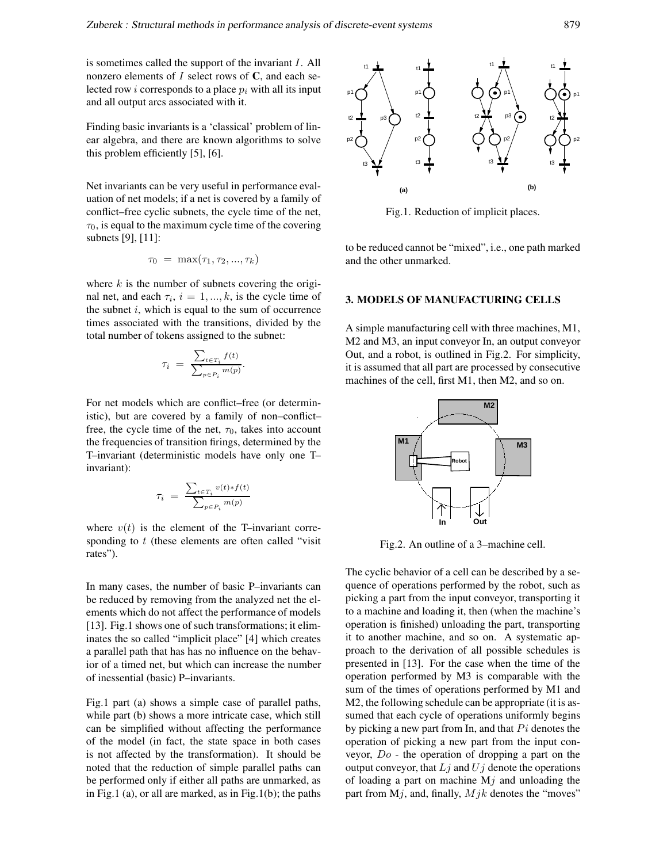is sometimes called the support of the invariant I. All nonzero elements of  $I$  select rows of  $C$ , and each selected row *i* corresponds to a place  $p_i$  with all its input and all output arcs associated with it.

Finding basic invariants is a 'classical' problem of linear algebra, and there are known algorithms to solve this problem efficiently [5], [6].

Net invariants can be very useful in performance evaluation of net models; if a net is covered by a family of conflict–free cyclic subnets, the cycle time of the net,  $\tau_0$ , is equal to the maximum cycle time of the covering subnets [9], [11]:

$$
\tau_0 = \max(\tau_1, \tau_2, ..., \tau_k)
$$

where  $k$  is the number of subnets covering the original net, and each  $\tau_i$ ,  $i = 1, ..., k$ , is the cycle time of the subnet  $i$ , which is equal to the sum of occurrence times associated with the transitions, divided by the total number of tokens assigned to the subnet:

$$
\tau_i = \frac{\sum_{t \in T_i} f(t)}{\sum_{p \in P_i} m(p)}.
$$

For net models which are conflict–free (or deterministic), but are covered by a family of non–conflict– free, the cycle time of the net,  $\tau_0$ , takes into account the frequencies of transition firings, determined by the T–invariant (deterministic models have only one T– invariant):

$$
\tau_i = \frac{\sum_{t \in T_i} v(t) * f(t)}{\sum_{p \in P_i} m(p)}
$$

where  $v(t)$  is the element of the T–invariant corresponding to  $t$  (these elements are often called "visit") rates").

In many cases, the number of basic P–invariants can be reduced by removing from the analyzed net the elements which do not affect the performance of models [13]. Fig.1 shows one of such transformations; it eliminates the so called "implicit place" [4] which creates a parallel path that has has no influence on the behavior of a timed net, but which can increase the number of inessential (basic) P–invariants.

Fig.1 part (a) shows a simple case of parallel paths, while part (b) shows a more intricate case, which still can be simplified without affecting the performance of the model (in fact, the state space in both cases is not affected by the transformation). It should be noted that the reduction of simple parallel paths can be performed only if either all paths are unmarked, as in Fig.1 (a), or all are marked, as in Fig.1(b); the paths



Fig.1. Reduction of implicit places.

to be reduced cannot be "mixed", i.e., one path marked and the other unmarked.

# 3. MODELS OF MANUFACTURING CELLS

A simple manufacturing cell with three machines, M1, M2 and M3, an input conveyor In, an output conveyor Out, and a robot, is outlined in Fig.2. For simplicity, it is assumed that all part are processed by consecutive machines of the cell, first M1, then M2, and so on.



Fig.2. An outline of a 3–machine cell.

The cyclic behavior of a cell can be described by a sequence of operations performed by the robot, such as picking a part from the input conveyor, transporting it to a machine and loading it, then (when the machine's operation is finished) unloading the part, transporting it to another machine, and so on. A systematic approach to the derivation of all possible schedules is presented in [13]. For the case when the time of the operation performed by M3 is comparable with the sum of the times of operations performed by M1 and M2, the following schedule can be appropriate (it is assumed that each cycle of operations uniformly begins by picking a new part from In, and that  $Pi$  denotes the operation of picking a new part from the input conveyor, Do - the operation of dropping a part on the output conveyor, that  $Lj$  and  $Uj$  denote the operations of loading a part on machine  $M_j$  and unloading the part from  $Mj$ , and, finally,  $Mjk$  denotes the "moves"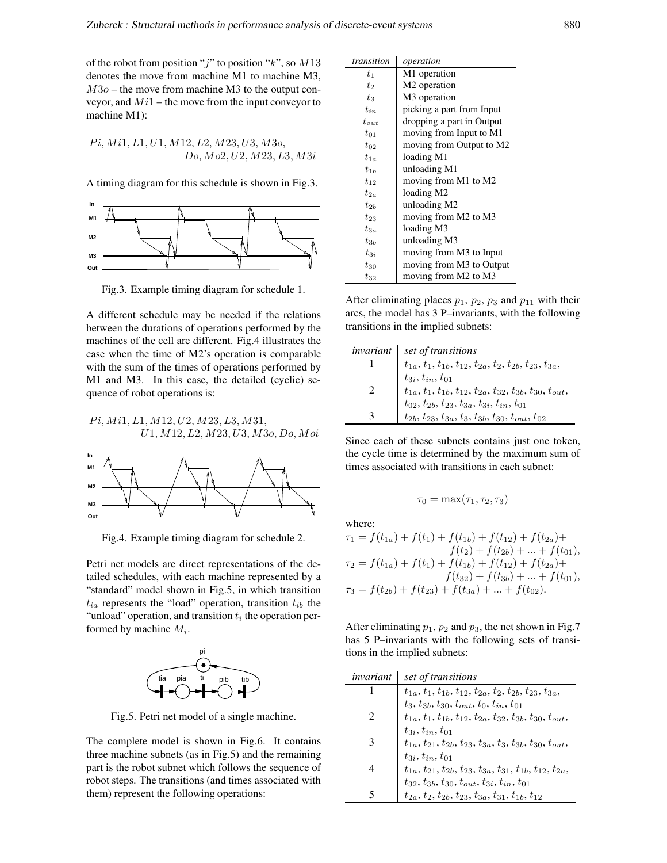of the robot from position "j" to position "k", so  $M13$ denotes the move from machine M1 to machine M3,  $M3o$  – the move from machine M3 to the output conveyor, and  $Mi1$  – the move from the input conveyor to machine M1):

 $Pi, Mi1, L1, U1, M12, L2, M23, U3, M3o,$ Do, Mo2, U2, M23, L3, M3i

A timing diagram for this schedule is shown in Fig.3.



Fig.3. Example timing diagram for schedule 1.

A different schedule may be needed if the relations between the durations of operations performed by the machines of the cell are different. Fig.4 illustrates the case when the time of M2's operation is comparable with the sum of the times of operations performed by M1 and M3. In this case, the detailed (cyclic) sequence of robot operations is:

 $Pi, Mi1, L1, M12, U2, M23, L3, M31,$ U1, M12, L2, M23, U3, M3o, Do, Moi



Fig.4. Example timing diagram for schedule 2.

Petri net models are direct representations of the detailed schedules, with each machine represented by a "standard" model shown in Fig.5, in which transition  $t_{ia}$  represents the "load" operation, transition  $t_{ib}$  the "unload" operation, and transition  $t_i$  the operation performed by machine  $M_i$ .



Fig.5. Petri net model of a single machine.

The complete model is shown in Fig.6. It contains three machine subnets (as in Fig.5) and the remaining part is the robot subnet which follows the sequence of robot steps. The transitions (and times associated with them) represent the following operations:

| transition | operation                 |
|------------|---------------------------|
| tı         | M1 operation              |
| $t_2$      | M <sub>2</sub> operation  |
| $t_3$      | M <sub>3</sub> operation  |
| $t_{in}$   | picking a part from Input |
| $t_{out}$  | dropping a part in Output |
| $t_{01}$   | moving from Input to M1   |
| $t_{02}$   | moving from Output to M2  |
| $t_{1a}$   | loading M1                |
| $t_{1h}$   | unloading M1              |
| $t_{12}$   | moving from M1 to M2      |
| $t_{2a}$   | loading M2                |
| $t_{2h}$   | unloading M2              |
| $t_{23}$   | moving from M2 to M3      |
| $t_{3a}$   | loading M3                |
| $t_{3h}$   | unloading M3              |
| $t_{3i}$   | moving from M3 to Input   |
| $t_{30}$   | moving from M3 to Output  |
| $t_{32}$   | moving from M2 to M3      |

After eliminating places  $p_1$ ,  $p_2$ ,  $p_3$  and  $p_{11}$  with their arcs, the model has 3 P–invariants, with the following transitions in the implied subnets:

| invariant set of transitions                                                                                                                                                                                                                                                        |
|-------------------------------------------------------------------------------------------------------------------------------------------------------------------------------------------------------------------------------------------------------------------------------------|
|                                                                                                                                                                                                                                                                                     |
| $\begin{cases} t_{1a},t_1,t_{1b},t_{12},t_{2a},t_2,t_{2b},t_{23},t_{3a},\ t_{3i},t_{in},t_{01}\ t_{1a},t_1,t_{1b},t_{12},t_{2a},t_{32},t_{3b},t_{30},t_{out},\ t_{02},t_{2b},t_{23},t_{3a},t_{3i},t_{in},t_{01}\ t_{2b},t_{23},t_{3a},t_3,t_{3b},t_{30},t_{out},t_{02} \end{cases}$ |
|                                                                                                                                                                                                                                                                                     |

Since each of these subnets contains just one token, the cycle time is determined by the maximum sum of times associated with transitions in each subnet:

$$
\tau_0 = \max(\tau_1, \tau_2, \tau_3)
$$

where:

$$
\tau_1 = f(t_{1a}) + f(t_1) + f(t_{1b}) + f(t_{12}) + f(t_{2a}) +\nf(t_2) + f(t_{2b}) + \dots + f(t_{01}),
$$
\n
$$
\tau_2 = f(t_{1a}) + f(t_1) + f(t_{1b}) + f(t_{12}) + f(t_{2a}) +\nf(t_{32}) + f(t_{3b}) + \dots + f(t_{01}),
$$
\n
$$
\tau_3 = f(t_{2b}) + f(t_{23}) + f(t_{3a}) + \dots + f(t_{02}).
$$

After eliminating  $p_1$ ,  $p_2$  and  $p_3$ , the net shown in Fig.7 has 5 P–invariants with the following sets of transitions in the implied subnets:

| invariant | set of transitions                                                        |
|-----------|---------------------------------------------------------------------------|
|           | $t_{1a}, t_1, t_{1b}, t_{12}, t_{2a}, t_2, t_{2b}, t_{23}, t_{3a},$       |
|           | $t_3, t_{3b}, t_{30}, t_{out}, t_0, t_{in}, t_{01}$                       |
| 2         | $t_{1a}, t_1, t_{1b}, t_{12}, t_{2a}, t_{32}, t_{3b}, t_{30}, t_{out},$   |
|           | $t_{3i}, t_{in}, t_{01}$                                                  |
| 3         | $t_{1a}, t_{21}, t_{2b}, t_{23}, t_{3a}, t_{3}, t_{3b}, t_{30}, t_{out},$ |
|           | $t_{3i}, t_{in}, t_{01}$                                                  |
|           | $t_{1a}, t_{21}, t_{2b}, t_{23}, t_{3a}, t_{31}, t_{1b}, t_{12}, t_{2a},$ |
|           | $t_{32}, t_{3b}, t_{30}, t_{out}, t_{3i}, t_{in}, t_{01}$                 |
|           | $t_{2a}, t_2, t_{2b}, t_{23}, t_{3a}, t_{31}, t_{1b}, t_{12}$             |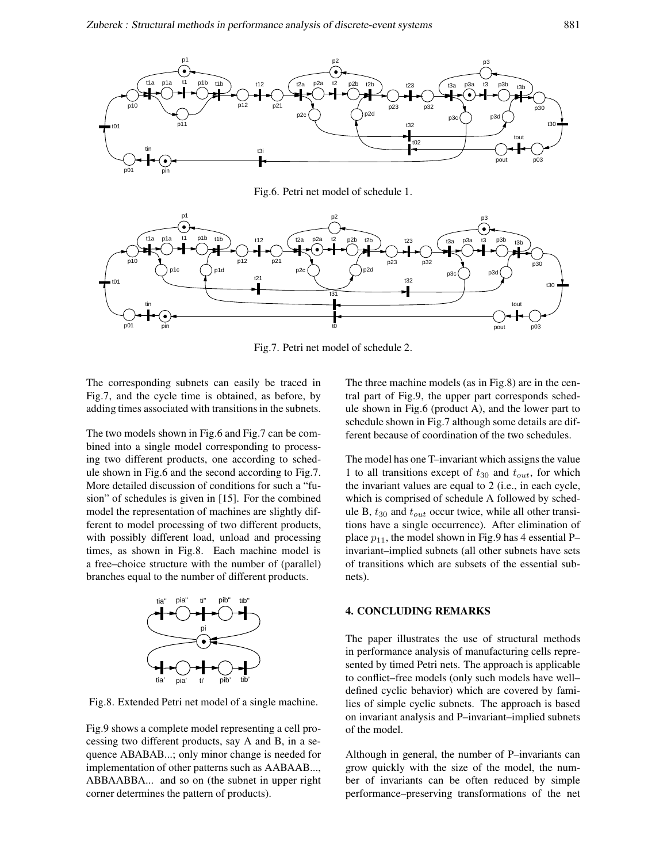

Fig.6. Petri net model of schedule 1.



Fig.7. Petri net model of schedule 2.

The corresponding subnets can easily be traced in Fig.7, and the cycle time is obtained, as before, by adding times associated with transitions in the subnets.

The two models shown in Fig.6 and Fig.7 can be combined into a single model corresponding to processing two different products, one according to schedule shown in Fig.6 and the second according to Fig.7. More detailed discussion of conditions for such a "fusion" of schedules is given in [15]. For the combined model the representation of machines are slightly different to model processing of two different products, with possibly different load, unload and processing times, as shown in Fig.8. Each machine model is a free–choice structure with the number of (parallel) branches equal to the number of different products.



Fig.8. Extended Petri net model of a single machine.

Fig.9 shows a complete model representing a cell processing two different products, say A and B, in a sequence ABABAB...; only minor change is needed for implementation of other patterns such as AABAAB..., ABBAABBA... and so on (the subnet in upper right corner determines the pattern of products).

The three machine models (as in Fig.8) are in the central part of Fig.9, the upper part corresponds schedule shown in Fig.6 (product A), and the lower part to schedule shown in Fig.7 although some details are different because of coordination of the two schedules.

The model has one T–invariant which assigns the value 1 to all transitions except of  $t_{30}$  and  $t_{out}$ , for which the invariant values are equal to 2 (i.e., in each cycle, which is comprised of schedule A followed by schedule B,  $t_{30}$  and  $t_{out}$  occur twice, while all other transitions have a single occurrence). After elimination of place  $p_{11}$ , the model shown in Fig.9 has 4 essential P– invariant–implied subnets (all other subnets have sets of transitions which are subsets of the essential subnets).

## 4. CONCLUDING REMARKS

The paper illustrates the use of structural methods in performance analysis of manufacturing cells represented by timed Petri nets. The approach is applicable to conflict–free models (only such models have well– defined cyclic behavior) which are covered by families of simple cyclic subnets. The approach is based on invariant analysis and P–invariant–implied subnets of the model.

Although in general, the number of P–invariants can grow quickly with the size of the model, the number of invariants can be often reduced by simple performance–preserving transformations of the net